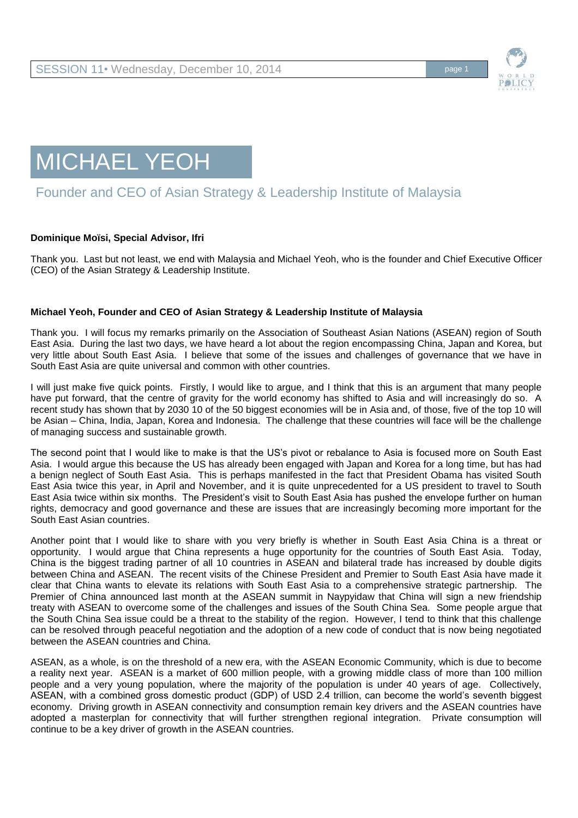



## Founder and CEO of Asian Strategy & Leadership Institute of Malaysia

## **Dominique Moïsi, Special Advisor, Ifri**

Thank you. Last but not least, we end with Malaysia and Michael Yeoh, who is the founder and Chief Executive Officer (CEO) of the Asian Strategy & Leadership Institute.

## **Michael Yeoh, Founder and CEO of Asian Strategy & Leadership Institute of Malaysia**

Thank you. I will focus my remarks primarily on the Association of Southeast Asian Nations (ASEAN) region of South East Asia. During the last two days, we have heard a lot about the region encompassing China, Japan and Korea, but very little about South East Asia. I believe that some of the issues and challenges of governance that we have in South East Asia are quite universal and common with other countries.

I will just make five quick points. Firstly, I would like to argue, and I think that this is an argument that many people have put forward, that the centre of gravity for the world economy has shifted to Asia and will increasingly do so. A recent study has shown that by 2030 10 of the 50 biggest economies will be in Asia and, of those, five of the top 10 will be Asian – China, India, Japan, Korea and Indonesia. The challenge that these countries will face will be the challenge of managing success and sustainable growth.

The second point that I would like to make is that the US's pivot or rebalance to Asia is focused more on South East Asia. I would argue this because the US has already been engaged with Japan and Korea for a long time, but has had a benign neglect of South East Asia. This is perhaps manifested in the fact that President Obama has visited South East Asia twice this year, in April and November, and it is quite unprecedented for a US president to travel to South East Asia twice within six months. The President's visit to South East Asia has pushed the envelope further on human rights, democracy and good governance and these are issues that are increasingly becoming more important for the South East Asian countries.

Another point that I would like to share with you very briefly is whether in South East Asia China is a threat or opportunity. I would argue that China represents a huge opportunity for the countries of South East Asia. Today, China is the biggest trading partner of all 10 countries in ASEAN and bilateral trade has increased by double digits between China and ASEAN. The recent visits of the Chinese President and Premier to South East Asia have made it clear that China wants to elevate its relations with South East Asia to a comprehensive strategic partnership. The Premier of China announced last month at the ASEAN summit in Naypyidaw that China will sign a new friendship treaty with ASEAN to overcome some of the challenges and issues of the South China Sea. Some people argue that the South China Sea issue could be a threat to the stability of the region. However, I tend to think that this challenge can be resolved through peaceful negotiation and the adoption of a new code of conduct that is now being negotiated between the ASEAN countries and China.

ASEAN, as a whole, is on the threshold of a new era, with the ASEAN Economic Community, which is due to become a reality next year. ASEAN is a market of 600 million people, with a growing middle class of more than 100 million people and a very young population, where the majority of the population is under 40 years of age. Collectively, ASEAN, with a combined gross domestic product (GDP) of USD 2.4 trillion, can become the world's seventh biggest economy. Driving growth in ASEAN connectivity and consumption remain key drivers and the ASEAN countries have adopted a masterplan for connectivity that will further strengthen regional integration. Private consumption will continue to be a key driver of growth in the ASEAN countries.